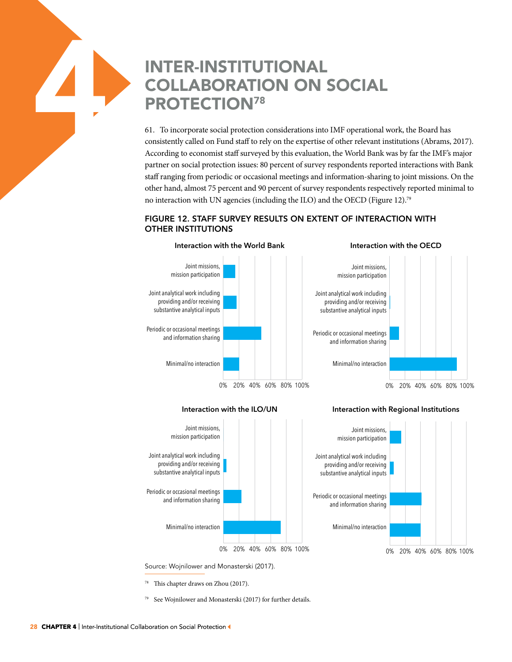# INTER-INSTITUTIONAL COLLABORATION ON SOCIAL PROTECTION78

61. To incorporate social protection considerations into IMF operational work, the Board has consistently called on Fund staff to rely on the expertise of other relevant institutions (Abrams, 2017). According to economist staff surveyed by this evaluation, the World Bank was by far the IMF's major partner on social protection issues: 80 percent of survey respondents reported interactions with Bank staff ranging from periodic or occasional meetings and information-sharing to joint missions. On the other hand, almost 75 percent and 90 percent of survey respondents respectively reported minimal to no interaction with UN agencies (including the ILO) and the OECD (Figure 12).79

## FIGURE 12. STAFF SURVEY RESULTS ON EXTENT OF INTERACTION WITH OTHER INSTITUTIONS



#### **Interaction with Regional Institutions**



**Interaction with the ILO/UN**

Source: Wojnilower and Monasterski (2017).

78 This chapter draws on Zhou (2017).

79 See Wojnilower and Monasterski (2017) for further details.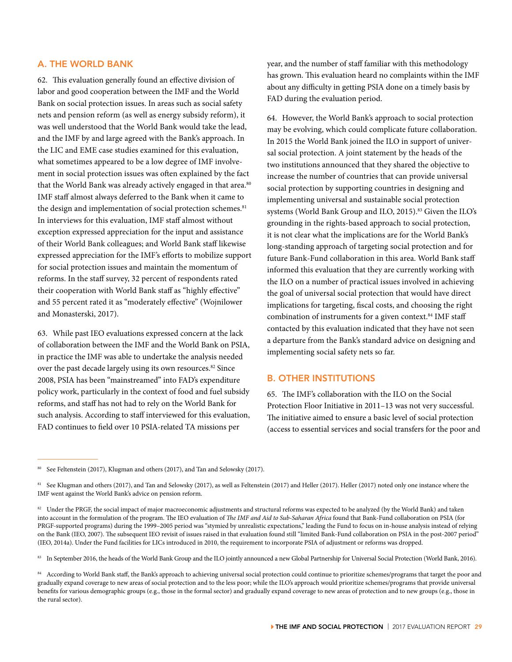## A. THE WORLD BANK

62. This evaluation generally found an effective division of labor and good cooperation between the IMF and the World Bank on social protection issues. In areas such as social safety nets and pension reform (as well as energy subsidy reform), it was well understood that the World Bank would take the lead, and the IMF by and large agreed with the Bank's approach. In the LIC and EME case studies examined for this evaluation, what sometimes appeared to be a low degree of IMF involvement in social protection issues was often explained by the fact that the World Bank was already actively engaged in that area.<sup>80</sup> IMF staff almost always deferred to the Bank when it came to the design and implementation of social protection schemes.<sup>81</sup> In interviews for this evaluation, IMF staff almost without exception expressed appreciation for the input and assistance of their World Bank colleagues; and World Bank staff likewise expressed appreciation for the IMF's efforts to mobilize support for social protection issues and maintain the momentum of reforms. In the staff survey, 32 percent of respondents rated their cooperation with World Bank staff as "highly effective" and 55 percent rated it as "moderately effective" (Wojnilower and Monasterski, 2017).

63. While past IEO evaluations expressed concern at the lack of collaboration between the IMF and the World Bank on PSIA, in practice the IMF was able to undertake the analysis needed over the past decade largely using its own resources.<sup>82</sup> Since 2008, PSIA has been "mainstreamed" into FAD's expenditure policy work, particularly in the context of food and fuel subsidy reforms, and staff has not had to rely on the World Bank for such analysis. According to staff interviewed for this evaluation, FAD continues to field over 10 PSIA-related TA missions per

year, and the number of staff familiar with this methodology has grown. This evaluation heard no complaints within the IMF about any difficulty in getting PSIA done on a timely basis by FAD during the evaluation period.

64. However, the World Bank's approach to social protection may be evolving, which could complicate future collaboration. In 2015 the World Bank joined the ILO in support of universal social protection. A joint statement by the heads of the two institutions announced that they shared the objective to increase the number of countries that can provide universal social protection by supporting countries in designing and implementing universal and sustainable social protection systems (World Bank Group and ILO, 2015).<sup>83</sup> Given the ILO's grounding in the rights-based approach to social protection, it is not clear what the implications are for the World Bank's long-standing approach of targeting social protection and for future Bank-Fund collaboration in this area. World Bank staff informed this evaluation that they are currently working with the ILO on a number of practical issues involved in achieving the goal of universal social protection that would have direct implications for targeting, fiscal costs, and choosing the right combination of instruments for a given context.<sup>84</sup> IMF staff contacted by this evaluation indicated that they have not seen a departure from the Bank's standard advice on designing and implementing social safety nets so far.

### B. OTHER INSTITUTIONS

65. The IMF's collaboration with the ILO on the Social Protection Floor Initiative in 2011–13 was not very successful. The initiative aimed to ensure a basic level of social protection (access to essential services and social transfers for the poor and

See Feltenstein (2017), Klugman and others (2017), and Tan and Selowsky (2017).

<sup>81</sup> See Klugman and others (2017), and Tan and Selowsky (2017), as well as Feltenstein (2017) and Heller (2017). Heller (2017) noted only one instance where the IMF went against the World Bank's advice on pension reform.

<sup>82</sup> Under the PRGF, the social impact of major macroeconomic adjustments and structural reforms was expected to be analyzed (by the World Bank) and taken into account in the formulation of the program. The IEO evaluation of *The IMF and Aid to Sub-Saharan Africa* found that Bank-Fund collaboration on PSIA (for PRGF-supported programs) during the 1999–2005 period was "stymied by unrealistic expectations," leading the Fund to focus on in-house analysis instead of relying on the Bank (IEO, 2007). The subsequent IEO revisit of issues raised in that evaluation found still "limited Bank-Fund collaboration on PSIA in the post-2007 period" (IEO, 2014a). Under the Fund facilities for LICs introduced in 2010, the requirement to incorporate PSIA of adjustment or reforms was dropped.

<sup>83</sup> In September 2016, the heads of the World Bank Group and the ILO jointly announced a new Global Partnership for Universal Social Protection (World Bank, 2016).

<sup>84</sup> According to World Bank staff, the Bank's approach to achieving universal social protection could continue to prioritize schemes/programs that target the poor and gradually expand coverage to new areas of social protection and to the less poor; while the ILO's approach would prioritize schemes/programs that provide universal benefits for various demographic groups (e.g., those in the formal sector) and gradually expand coverage to new areas of protection and to new groups (e.g., those in the rural sector).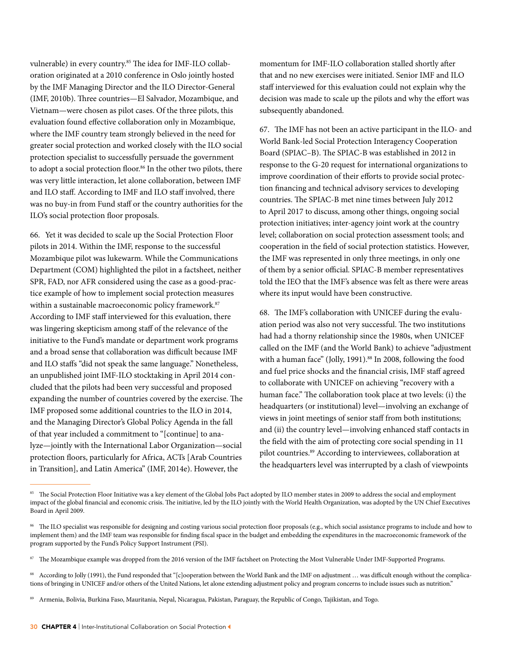vulnerable) in every country.<sup>85</sup> The idea for IMF-ILO collaboration originated at a 2010 conference in Oslo jointly hosted by the IMF Managing Director and the ILO Director-General (IMF, 2010b). Three countries—El Salvador, Mozambique, and Vietnam—were chosen as pilot cases. Of the three pilots, this evaluation found effective collaboration only in Mozambique, where the IMF country team strongly believed in the need for greater social protection and worked closely with the ILO social protection specialist to successfully persuade the government to adopt a social protection floor.<sup>86</sup> In the other two pilots, there was very little interaction, let alone collaboration, between IMF and ILO staff. According to IMF and ILO staff involved, there was no buy-in from Fund staff or the country authorities for the ILO's social protection floor proposals.

66. Yet it was decided to scale up the Social Protection Floor pilots in 2014. Within the IMF, response to the successful Mozambique pilot was lukewarm. While the Communications Department (COM) highlighted the pilot in a factsheet, neither SPR, FAD, nor AFR considered using the case as a good-practice example of how to implement social protection measures within a sustainable macroeconomic policy framework.<sup>87</sup> According to IMF staff interviewed for this evaluation, there was lingering skepticism among staff of the relevance of the initiative to the Fund's mandate or department work programs and a broad sense that collaboration was difficult because IMF and ILO staffs "did not speak the same language." Nonetheless, an unpublished joint IMF-ILO stocktaking in April 2014 concluded that the pilots had been very successful and proposed expanding the number of countries covered by the exercise. The IMF proposed some additional countries to the ILO in 2014, and the Managing Director's Global Policy Agenda in the fall of that year included a commitment to "[continue] to analyze—jointly with the International Labor Organization—social protection floors, particularly for Africa, ACTs [Arab Countries in Transition], and Latin America" (IMF, 2014e). However, the

momentum for IMF-ILO collaboration stalled shortly after that and no new exercises were initiated. Senior IMF and ILO staff interviewed for this evaluation could not explain why the decision was made to scale up the pilots and why the effort was subsequently abandoned.

67. The IMF has not been an active participant in the ILO- and World Bank-led Social Protection Interagency Cooperation Board (SPIAC–B). The SPIAC-B was established in 2012 in response to the G-20 request for international organizations to improve coordination of their efforts to provide social protection financing and technical advisory services to developing countries. The SPIAC-B met nine times between July 2012 to April 2017 to discuss, among other things, ongoing social protection initiatives; inter-agency joint work at the country level; collaboration on social protection assessment tools; and cooperation in the field of social protection statistics. However, the IMF was represented in only three meetings, in only one of them by a senior official. SPIAC-B member representatives told the IEO that the IMF's absence was felt as there were areas where its input would have been constructive.

68. The IMF's collaboration with UNICEF during the evaluation period was also not very successful. The two institutions had had a thorny relationship since the 1980s, when UNICEF called on the IMF (and the World Bank) to achieve "adjustment with a human face" (Jolly, 1991).<sup>88</sup> In 2008, following the food and fuel price shocks and the financial crisis, IMF staff agreed to collaborate with UNICEF on achieving "recovery with a human face." The collaboration took place at two levels: (i) the headquarters (or institutional) level—involving an exchange of views in joint meetings of senior staff from both institutions; and (ii) the country level—involving enhanced staff contacts in the field with the aim of protecting core social spending in 11 pilot countries.89 According to interviewees, collaboration at the headquarters level was interrupted by a clash of viewpoints

<sup>&</sup>lt;sup>85</sup> The Social Protection Floor Initiative was a key element of the Global Jobs Pact adopted by ILO member states in 2009 to address the social and employment impact of the global financial and economic crisis. The initiative, led by the ILO jointly with the World Health Organization, was adopted by the UN Chief Executives Board in April 2009.

<sup>86</sup> The ILO specialist was responsible for designing and costing various social protection floor proposals (e.g., which social assistance programs to include and how to implement them) and the IMF team was responsible for finding fiscal space in the budget and embedding the expenditures in the macroeconomic framework of the program supported by the Fund's Policy Support Instrument (PSI).

<sup>87</sup> The Mozambique example was dropped from the 2016 version of the IMF factsheet on Protecting the Most Vulnerable Under IMF-Supported Programs.

<sup>88</sup> According to Jolly (1991), the Fund responded that "[c]ooperation between the World Bank and the IMF on adjustment ... was difficult enough without the complications of bringing in UNICEF and/or others of the United Nations, let alone extending adjustment policy and program concerns to include issues such as nutrition."

<sup>89</sup> Armenia, Bolivia, Burkina Faso, Mauritania, Nepal, Nicaragua, Pakistan, Paraguay, the Republic of Congo, Tajikistan, and Togo.